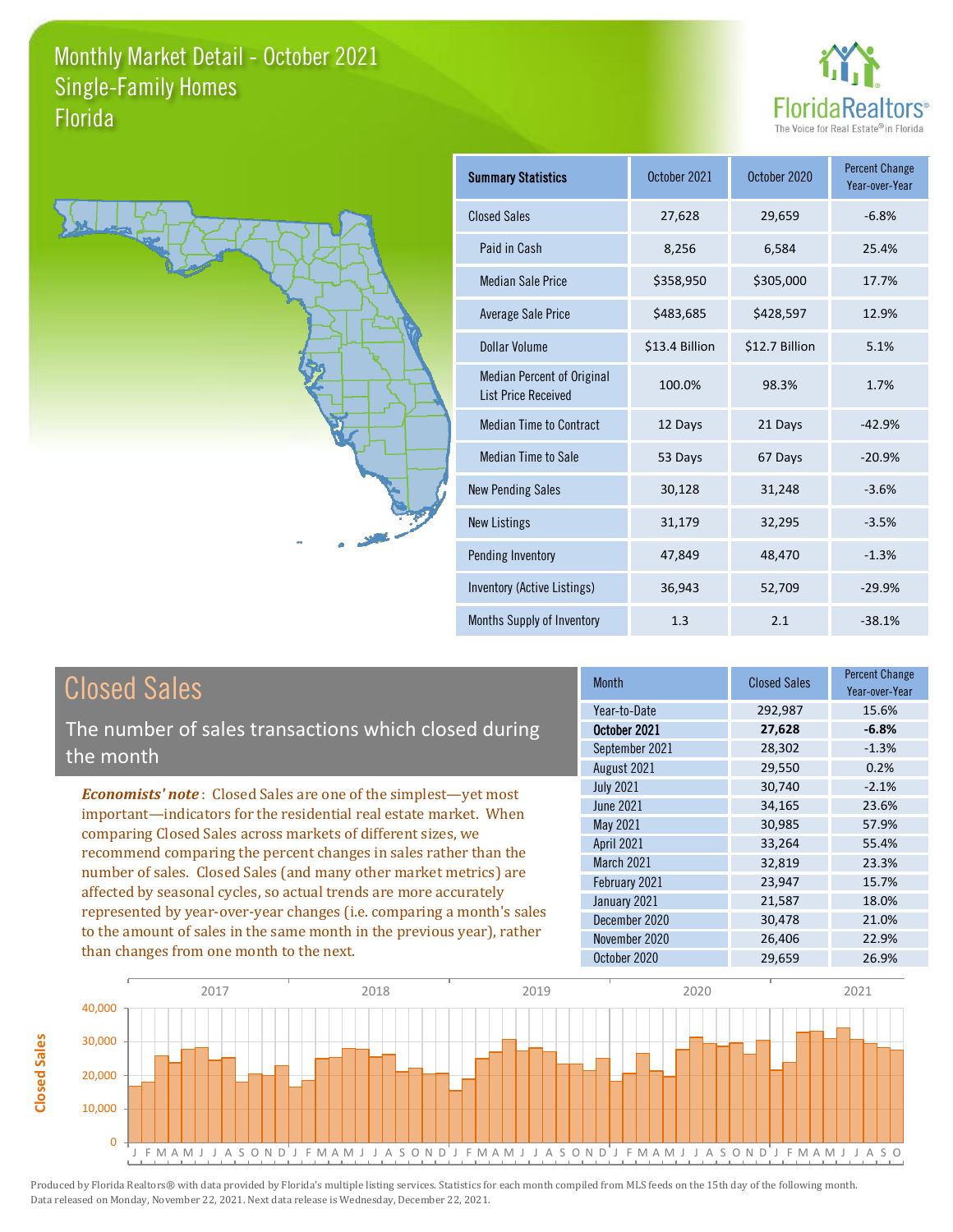



**Closed Sales**

**Closed Sales** 

| <b>Summary Statistics</b>                                       | October 2021   | October 2020   | <b>Percent Change</b><br>Year-over-Year |
|-----------------------------------------------------------------|----------------|----------------|-----------------------------------------|
| <b>Closed Sales</b>                                             | 27,628         | 29,659         | $-6.8%$                                 |
| Paid in Cash                                                    | 8,256          | 6,584          | 25.4%                                   |
| <b>Median Sale Price</b>                                        | \$358,950      | \$305,000      | 17.7%                                   |
| <b>Average Sale Price</b>                                       | \$483,685      | \$428,597      | 12.9%                                   |
| Dollar Volume                                                   | \$13.4 Billion | \$12.7 Billion | 5.1%                                    |
| <b>Median Percent of Original</b><br><b>List Price Received</b> | 100.0%         | 98.3%          | 1.7%                                    |
| <b>Median Time to Contract</b>                                  | 12 Days        | 21 Days        | $-42.9%$                                |
| Median Time to Sale                                             | 53 Days        | 67 Days        | $-20.9%$                                |
| <b>New Pending Sales</b>                                        | 30,128         | 31,248         | $-3.6%$                                 |
| <b>New Listings</b>                                             | 31,179         | 32,295         | $-3.5%$                                 |
| Pending Inventory                                               | 47,849         | 48,470         | $-1.3%$                                 |
| Inventory (Active Listings)                                     | 36,943         | 52,709         | $-29.9%$                                |
| Months Supply of Inventory                                      | 1.3            | 2.1            | $-38.1%$                                |

| <b>Closed Sales</b>                                                                                                                                                                                                                                                                                                                                                                                                                                                                                                                                                                                                      | <b>Month</b>                                                                                                                                                    | <b>Closed Sales</b>                                                                              | <b>Percent Change</b><br>Year-over-Year                                                  |
|--------------------------------------------------------------------------------------------------------------------------------------------------------------------------------------------------------------------------------------------------------------------------------------------------------------------------------------------------------------------------------------------------------------------------------------------------------------------------------------------------------------------------------------------------------------------------------------------------------------------------|-----------------------------------------------------------------------------------------------------------------------------------------------------------------|--------------------------------------------------------------------------------------------------|------------------------------------------------------------------------------------------|
| The number of sales transactions which closed during<br>the month                                                                                                                                                                                                                                                                                                                                                                                                                                                                                                                                                        | Year-to-Date<br>October 2021<br>September 2021<br>August 2021                                                                                                   | 292,987<br>27,628<br>28,302<br>29,550                                                            | 15.6%<br>$-6.8%$<br>$-1.3%$<br>0.2%                                                      |
| <b>Economists' note:</b> Closed Sales are one of the simplest—yet most<br>important—indicators for the residential real estate market. When<br>comparing Closed Sales across markets of different sizes, we<br>recommend comparing the percent changes in sales rather than the<br>number of sales. Closed Sales (and many other market metrics) are<br>affected by seasonal cycles, so actual trends are more accurately<br>represented by year-over-year changes (i.e. comparing a month's sales<br>to the amount of sales in the same month in the previous year), rather<br>than changes from one month to the next. | <b>July 2021</b><br>June 2021<br>May 2021<br><b>April 2021</b><br>March 2021<br>February 2021<br>January 2021<br>December 2020<br>November 2020<br>October 2020 | 30,740<br>34,165<br>30,985<br>33,264<br>32,819<br>23,947<br>21,587<br>30,478<br>26,406<br>29,659 | $-2.1%$<br>23.6%<br>57.9%<br>55.4%<br>23.3%<br>15.7%<br>18.0%<br>21.0%<br>22.9%<br>26.9% |

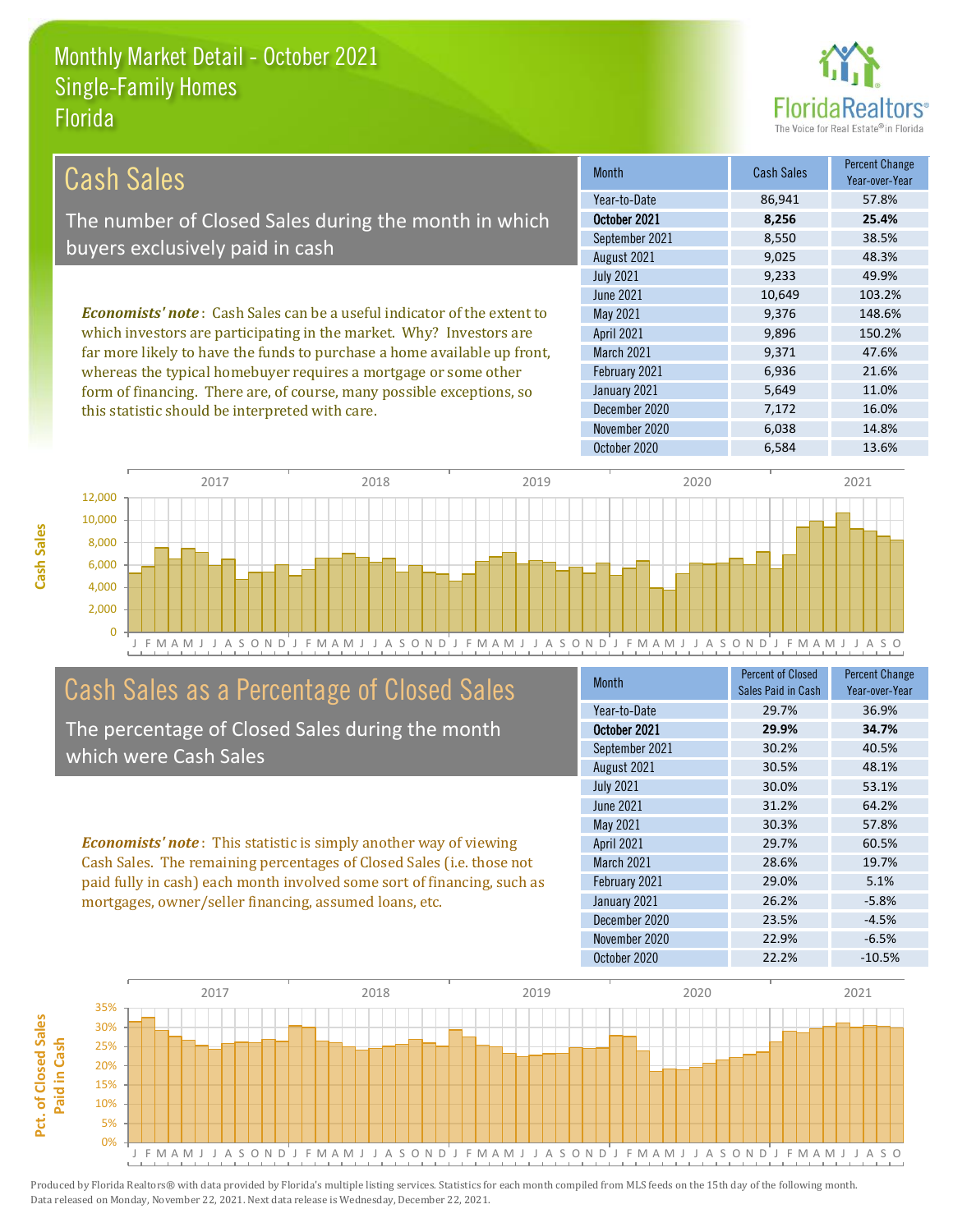

| Cash Sales                                                                     | <b>Month</b>      | <b>Cash Sales</b> | <b>Percent Change</b><br>Year-over-Year |
|--------------------------------------------------------------------------------|-------------------|-------------------|-----------------------------------------|
|                                                                                | Year-to-Date      | 86,941            | 57.8%                                   |
| The number of Closed Sales during the month in which                           | October 2021      | 8,256             | 25.4%                                   |
| buyers exclusively paid in cash                                                | September 2021    | 8,550             | 38.5%                                   |
|                                                                                | August 2021       | 9,025             | 48.3%                                   |
|                                                                                | <b>July 2021</b>  | 9,233             | 49.9%                                   |
|                                                                                | June 2021         | 10.649            | 103.2%                                  |
| <b>Economists' note:</b> Cash Sales can be a useful indicator of the extent to | May 2021          | 9,376             | 148.6%                                  |
| which investors are participating in the market. Why? Investors are            | <b>April 2021</b> | 9,896             | 150.2%                                  |
| far more likely to have the funds to purchase a home available up front,       | <b>March 2021</b> | 9.371             | 47.6%                                   |
| whereas the typical homebuyer requires a mortgage or some other                | February 2021     | 6,936             | 21.6%                                   |
| form of financing. There are, of course, many possible exceptions, so          | January 2021      | 5,649             | 11.0%                                   |
| this statistic should be interpreted with care.                                | December 2020     | 7,172             | 16.0%                                   |



## Cash Sales as a Percentage of Closed Sales

The percentage of Closed Sales during the month which were Cash Sales

*Economists' note* : This statistic is simply another way of viewing Cash Sales. The remaining percentages of Closed Sales (i.e. those not paid fully in cash) each month involved some sort of financing, such as mortgages, owner/seller financing, assumed loans, etc.

| Month            | <b>Percent of Closed</b> | <b>Percent Change</b> |
|------------------|--------------------------|-----------------------|
|                  | Sales Paid in Cash       | Year-over-Year        |
| Year-to-Date     | 29.7%                    | 36.9%                 |
| October 2021     | 29.9%                    | 34.7%                 |
| September 2021   | 30.2%                    | 40.5%                 |
| August 2021      | 30.5%                    | 48.1%                 |
| <b>July 2021</b> | 30.0%                    | 53.1%                 |
| <b>June 2021</b> | 31.2%                    | 64.2%                 |
| May 2021         | 30.3%                    | 57.8%                 |
| April 2021       | 29.7%                    | 60.5%                 |
| March 2021       | 28.6%                    | 19.7%                 |
| February 2021    | 29.0%                    | 5.1%                  |
| January 2021     | 26.2%                    | $-5.8%$               |
| December 2020    | 23.5%                    | $-4.5%$               |
| November 2020    | 22.9%                    | $-6.5%$               |
| October 2020     | 22.2%                    | $-10.5%$              |

November 2020 6,038 14.8%

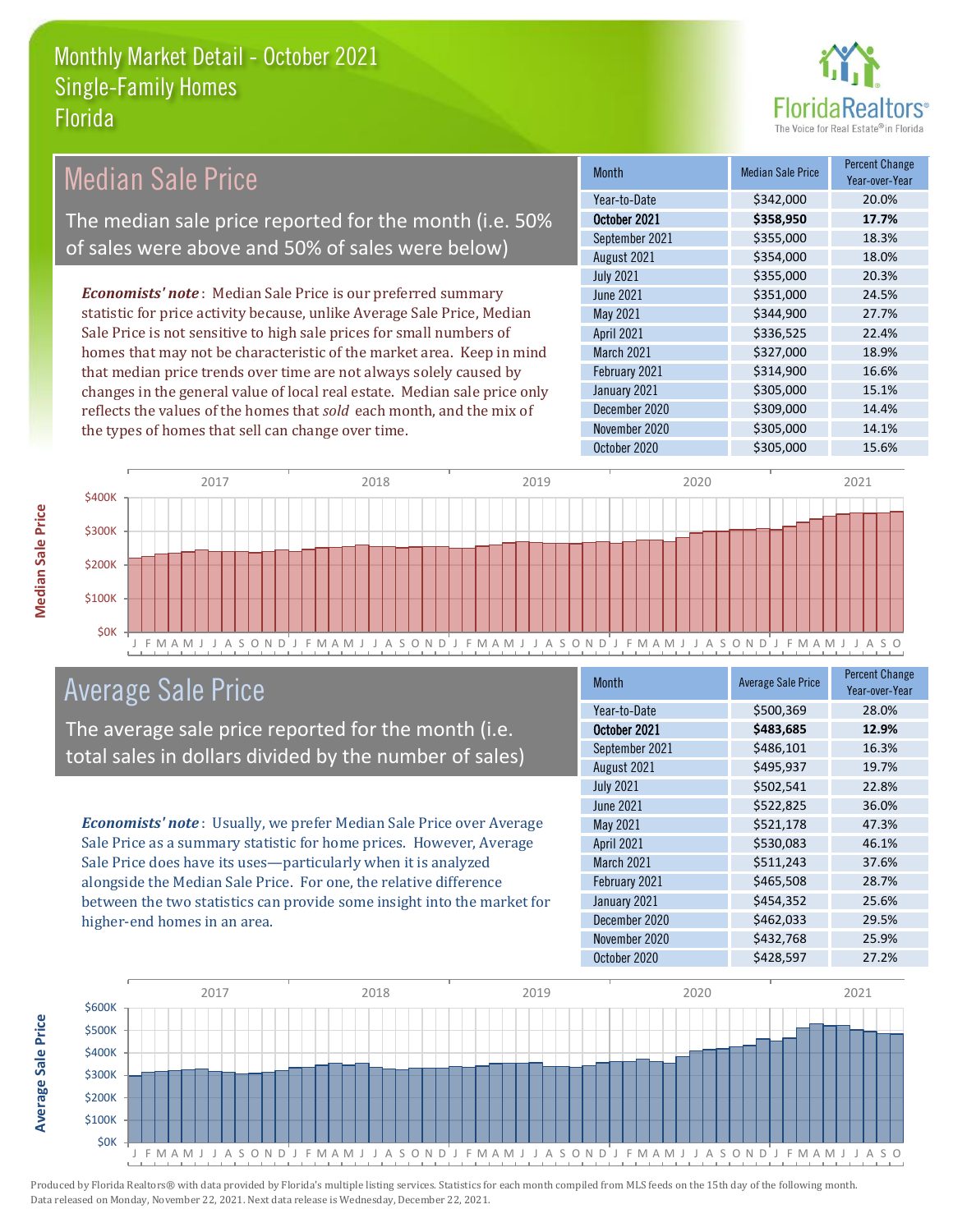the types of homes that sell can change over time.



| Median Sale Price                                                         | <b>Month</b>      | <b>Median Sale Price</b> | <b>Percent Change</b> |
|---------------------------------------------------------------------------|-------------------|--------------------------|-----------------------|
|                                                                           |                   |                          | Year-over-Year        |
|                                                                           | Year-to-Date      | \$342,000                | 20.0%                 |
| The median sale price reported for the month (i.e. 50%                    | October 2021      | \$358,950                | 17.7%                 |
| of sales were above and 50% of sales were below)                          | September 2021    | \$355,000                | 18.3%                 |
|                                                                           | August 2021       | \$354,000                | 18.0%                 |
|                                                                           | <b>July 2021</b>  | \$355,000                | 20.3%                 |
| <b>Economists' note:</b> Median Sale Price is our preferred summary       | June 2021         | \$351,000                | 24.5%                 |
| statistic for price activity because, unlike Average Sale Price, Median   | May 2021          | \$344,900                | 27.7%                 |
| Sale Price is not sensitive to high sale prices for small numbers of      | <b>April 2021</b> | \$336,525                | 22.4%                 |
| homes that may not be characteristic of the market area. Keep in mind     | March 2021        | \$327,000                | 18.9%                 |
| that median price trends over time are not always solely caused by        | February 2021     | \$314,900                | 16.6%                 |
| changes in the general value of local real estate. Median sale price only | January 2021      | \$305,000                | 15.1%                 |
| reflects the values of the homes that sold each month, and the mix of     | December 2020     | \$309,000                | 14.4%                 |
| the types of homes that sell can change over time.                        | November 2020     | \$305,000                | 14.1%                 |



### Average Sale Price

The average sale price reported for the month (i.e. total sales in dollars divided by the number of sales)

*Economists' note* : Usually, we prefer Median Sale Price over Average Sale Price as a summary statistic for home prices. However, Average Sale Price does have its uses—particularly when it is analyzed alongside the Median Sale Price. For one, the relative difference between the two statistics can provide some insight into the market for higher-end homes in an area.

| <b>Month</b>     | <b>Average Sale Price</b> | <b>Percent Change</b><br>Year-over-Year |
|------------------|---------------------------|-----------------------------------------|
| Year-to-Date     | \$500,369                 | 28.0%                                   |
| October 2021     | \$483,685                 | 12.9%                                   |
| September 2021   | \$486,101                 | 16.3%                                   |
| August 2021      | \$495,937                 | 19.7%                                   |
| <b>July 2021</b> | \$502,541                 | 22.8%                                   |
| <b>June 2021</b> | \$522,825                 | 36.0%                                   |
| May 2021         | \$521,178                 | 47.3%                                   |
| April 2021       | \$530,083                 | 46.1%                                   |
| March 2021       | \$511,243                 | 37.6%                                   |
| February 2021    | \$465,508                 | 28.7%                                   |
| January 2021     | \$454,352                 | 25.6%                                   |
| December 2020    | \$462,033                 | 29.5%                                   |
| November 2020    | \$432,768                 | 25.9%                                   |
| October 2020     | \$428,597                 | 27.2%                                   |

October 2020 **\$305,000** \$305,000 15.6%



Produced by Florida Realtors® with data provided by Florida's multiple listing services. Statistics for each month compiled from MLS feeds on the 15th day of the following month. Data released on Monday, November 22, 2021. Next data release is Wednesday, December 22, 2021.

**Average Sale Price**

**Average Sale Price**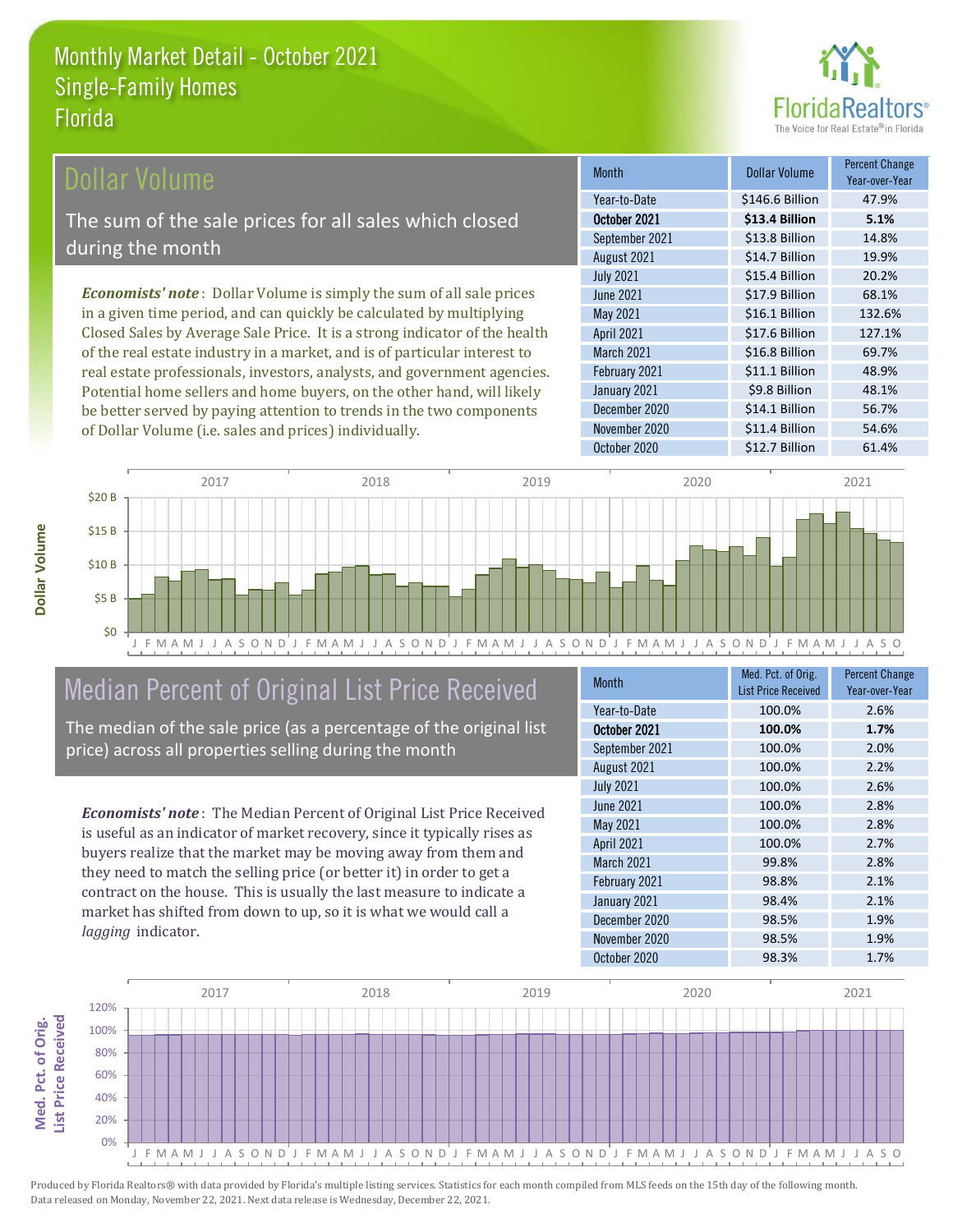

### Dollar Volume

The sum of the sale prices for all sales which closed during the month

*Economists' note* : Dollar Volume is simply the sum of all sale prices in a given time period, and can quickly be calculated by multiplying Closed Sales by Average Sale Price. It is a strong indicator of the health of the real estate industry in a market, and is of particular interest to real estate professionals, investors, analysts, and government agencies. Potential home sellers and home buyers, on the other hand, will likely be better served by paying attention to trends in the two components of Dollar Volume (i.e. sales and prices) individually.

| <b>Month</b>      | Dollar Volume   | <b>Percent Change</b><br>Year-over-Year |
|-------------------|-----------------|-----------------------------------------|
| Year-to-Date      | \$146.6 Billion | 47.9%                                   |
| October 2021      | \$13.4 Billion  | 5.1%                                    |
| September 2021    | \$13.8 Billion  | 14.8%                                   |
| August 2021       | \$14.7 Billion  | 19.9%                                   |
| <b>July 2021</b>  | \$15.4 Billion  | 20.2%                                   |
| <b>June 2021</b>  | \$17.9 Billion  | 68.1%                                   |
| May 2021          | \$16.1 Billion  | 132.6%                                  |
| <b>April 2021</b> | \$17.6 Billion  | 127.1%                                  |
| March 2021        | \$16.8 Billion  | 69.7%                                   |
| February 2021     | \$11.1 Billion  | 48.9%                                   |
| January 2021      | \$9.8 Billion   | 48.1%                                   |
| December 2020     | \$14.1 Billion  | 56.7%                                   |
| November 2020     | \$11.4 Billion  | 54.6%                                   |
| October 2020      | \$12.7 Billion  | 61.4%                                   |



## Median Percent of Original List Price Received

The median of the sale price (as a percentage of the original list price) across all properties selling during the month

*Economists' note* : The Median Percent of Original List Price Received is useful as an indicator of market recovery, since it typically rises as buyers realize that the market may be moving away from them and they need to match the selling price (or better it) in order to get a contract on the house. This is usually the last measure to indicate a market has shifted from down to up, so it is what we would call a *lagging* indicator.

| <b>Month</b>     | Med. Pct. of Orig.         | <b>Percent Change</b> |
|------------------|----------------------------|-----------------------|
|                  | <b>List Price Received</b> | Year-over-Year        |
| Year-to-Date     | 100.0%                     | 2.6%                  |
| October 2021     | 100.0%                     | 1.7%                  |
| September 2021   | 100.0%                     | 2.0%                  |
| August 2021      | 100.0%                     | 2.2%                  |
| <b>July 2021</b> | 100.0%                     | 2.6%                  |
| <b>June 2021</b> | 100.0%                     | 2.8%                  |
| May 2021         | 100.0%                     | 2.8%                  |
| April 2021       | 100.0%                     | 2.7%                  |
| March 2021       | 99.8%                      | 2.8%                  |
| February 2021    | 98.8%                      | 2.1%                  |
| January 2021     | 98.4%                      | 2.1%                  |
| December 2020    | 98.5%                      | 1.9%                  |
| November 2020    | 98.5%                      | 1.9%                  |
| October 2020     | 98.3%                      | 1.7%                  |



Produced by Florida Realtors® with data provided by Florida's multiple listing services. Statistics for each month compiled from MLS feeds on the 15th day of the following month. Data released on Monday, November 22, 2021. Next data release is Wednesday, December 22, 2021.

**Med. Pct. of Orig.** 

Med. Pct. of Orig.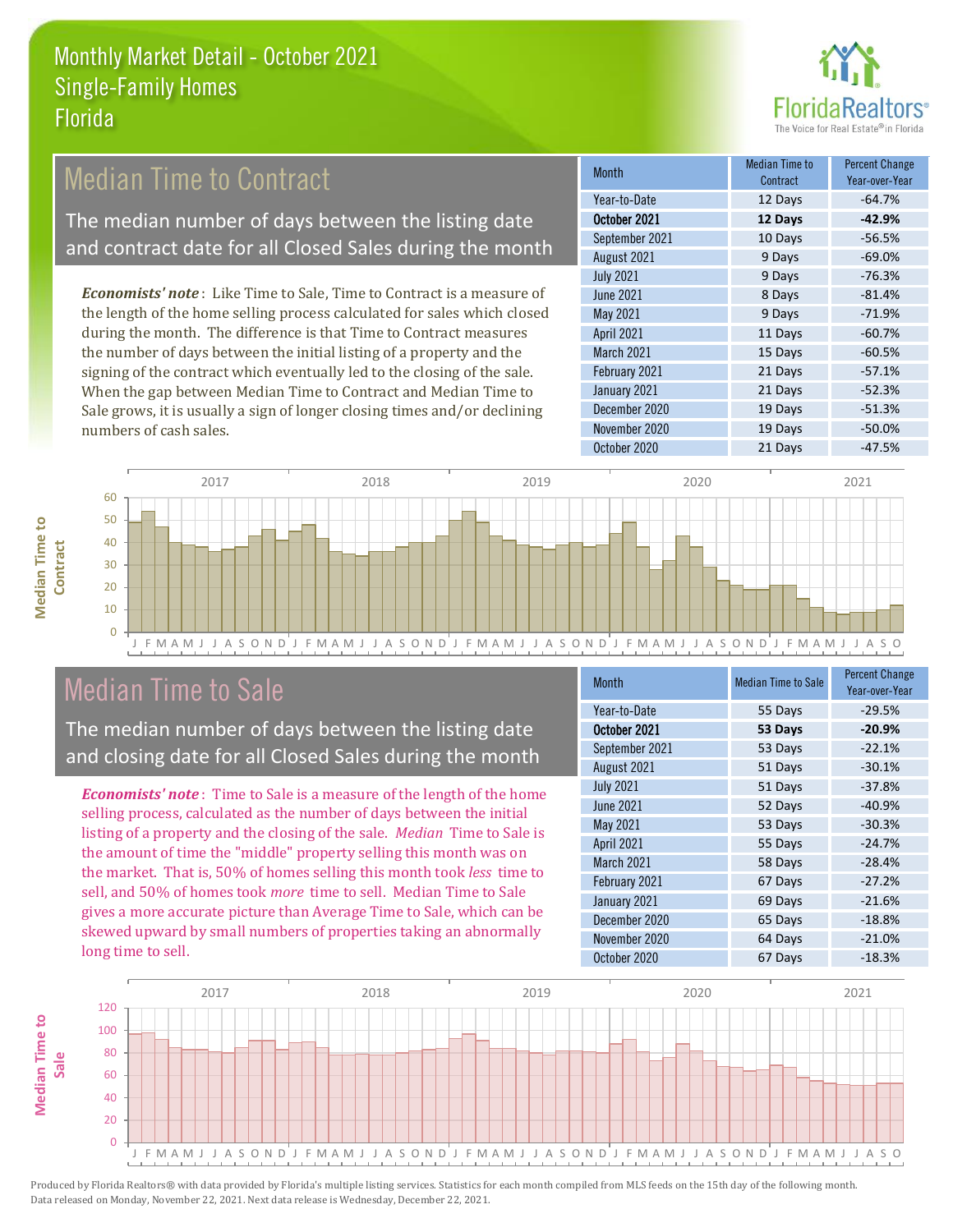

## Median Time to Contract

The median number of days between the listing date and contract date for all Closed Sales during the month

*Economists' note* : Like Time to Sale, Time to Contract is a measure of the length of the home selling process calculated for sales which closed during the month. The difference is that Time to Contract measures the number of days between the initial listing of a property and the signing of the contract which eventually led to the closing of the sale. When the gap between Median Time to Contract and Median Time to Sale grows, it is usually a sign of longer closing times and/or declining numbers of cash sales.

| <b>Month</b>     | <b>Median Time to</b><br>Contract | <b>Percent Change</b><br>Year-over-Year |
|------------------|-----------------------------------|-----------------------------------------|
| Year-to-Date     | 12 Days                           | $-64.7%$                                |
| October 2021     | 12 Days                           | $-42.9%$                                |
| September 2021   | 10 Days                           | $-56.5%$                                |
| August 2021      | 9 Days                            | $-69.0%$                                |
| <b>July 2021</b> | 9 Days                            | $-76.3%$                                |
| <b>June 2021</b> | 8 Days                            | $-81.4%$                                |
| May 2021         | 9 Days                            | $-71.9%$                                |
| April 2021       | 11 Days                           | $-60.7%$                                |
| March 2021       | 15 Days                           | $-60.5%$                                |
| February 2021    | 21 Days                           | $-57.1%$                                |
| January 2021     | 21 Days                           | $-52.3%$                                |
| December 2020    | 19 Days                           | $-51.3%$                                |
| November 2020    | 19 Days                           | $-50.0%$                                |
| October 2020     | 21 Days                           | $-47.5%$                                |



### Median Time to Sale

**Median Time to** 

**Median Time to** 

The median number of days between the listing date and closing date for all Closed Sales during the month

*Economists' note* : Time to Sale is a measure of the length of the home selling process, calculated as the number of days between the initial listing of a property and the closing of the sale. *Median* Time to Sale is the amount of time the "middle" property selling this month was on the market. That is, 50% of homes selling this month took *less* time to sell, and 50% of homes took *more* time to sell. Median Time to Sale gives a more accurate picture than Average Time to Sale, which can be skewed upward by small numbers of properties taking an abnormally long time to sell.

| <b>Month</b>     | <b>Median Time to Sale</b> | <b>Percent Change</b><br>Year-over-Year |
|------------------|----------------------------|-----------------------------------------|
| Year-to-Date     | 55 Days                    | $-29.5%$                                |
| October 2021     | 53 Days                    | $-20.9%$                                |
| September 2021   | 53 Days                    | $-22.1%$                                |
| August 2021      | 51 Days                    | $-30.1%$                                |
| <b>July 2021</b> | 51 Days                    | $-37.8%$                                |
| June 2021        | 52 Days                    | $-40.9%$                                |
| <b>May 2021</b>  | 53 Days                    | $-30.3%$                                |
| April 2021       | 55 Days                    | $-24.7%$                                |
| March 2021       | 58 Days                    | $-28.4%$                                |
| February 2021    | 67 Days                    | $-27.2%$                                |
| January 2021     | 69 Days                    | $-21.6%$                                |
| December 2020    | 65 Days                    | $-18.8%$                                |
| November 2020    | 64 Days                    | $-21.0%$                                |
| October 2020     | 67 Days                    | $-18.3%$                                |

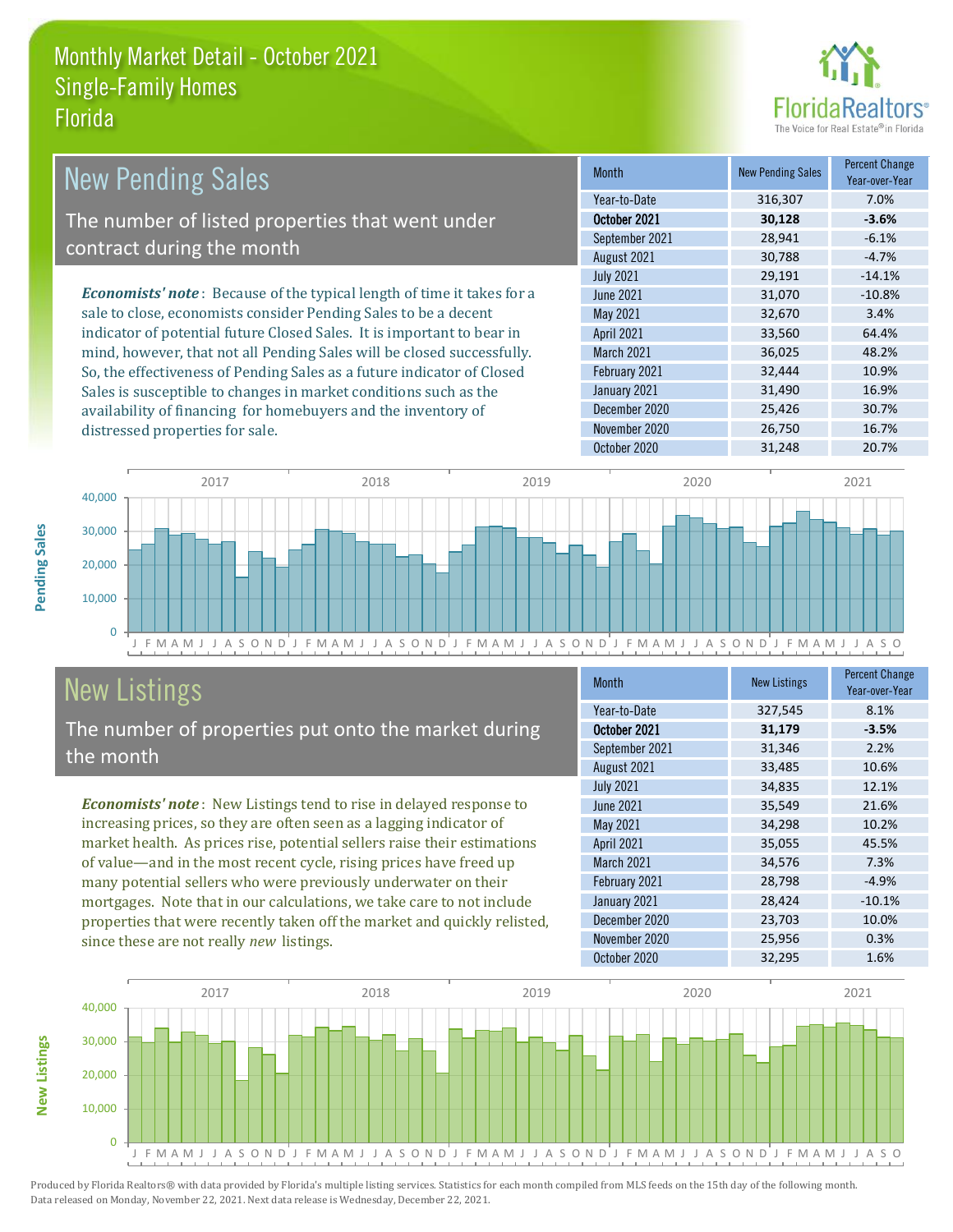

| <b>New Pending Sales</b>                                                      | <b>Month</b>      | <b>New Pending Sales</b> | <b>Percent Change</b><br>Year-over-Year |
|-------------------------------------------------------------------------------|-------------------|--------------------------|-----------------------------------------|
|                                                                               | Year-to-Date      | 316,307                  | 7.0%                                    |
| The number of listed properties that went under                               | October 2021      | 30,128                   | $-3.6%$                                 |
| contract during the month                                                     | September 2021    | 28,941                   | $-6.1%$                                 |
|                                                                               | August 2021       | 30,788                   | $-4.7%$                                 |
|                                                                               | <b>July 2021</b>  | 29,191                   | $-14.1%$                                |
| <b>Economists' note:</b> Because of the typical length of time it takes for a | June 2021         | 31,070                   | $-10.8%$                                |
| sale to close, economists consider Pending Sales to be a decent               | May 2021          | 32,670                   | 3.4%                                    |
| indicator of potential future Closed Sales. It is important to bear in        | <b>April 2021</b> | 33,560                   | 64.4%                                   |
| mind, however, that not all Pending Sales will be closed successfully.        | March 2021        | 36,025                   | 48.2%                                   |
| So, the effectiveness of Pending Sales as a future indicator of Closed        | February 2021     | 32,444                   | 10.9%                                   |
| Sales is susceptible to changes in market conditions such as the              | January 2021      | 31,490                   | 16.9%                                   |
| availability of financing for homebuyers and the inventory of                 | December 2020     | 25,426                   | 30.7%                                   |



## New Listings

**New Listings**

**Pending Sales**

Pending Sales

distressed properties for sale.

The number of properties put onto the market during the month

*Economists' note* : New Listings tend to rise in delayed response to increasing prices, so they are often seen as a lagging indicator of market health. As prices rise, potential sellers raise their estimations of value—and in the most recent cycle, rising prices have freed up many potential sellers who were previously underwater on their mortgages. Note that in our calculations, we take care to not include properties that were recently taken off the market and quickly relisted, since these are not really *new* listings.

| <b>Month</b>      | <b>New Listings</b> | <b>Percent Change</b><br>Year-over-Year |
|-------------------|---------------------|-----------------------------------------|
| Year-to-Date      | 327,545             | 8.1%                                    |
| October 2021      | 31,179              | $-3.5%$                                 |
| September 2021    | 31,346              | 2.2%                                    |
| August 2021       | 33,485              | 10.6%                                   |
| <b>July 2021</b>  | 34,835              | 12.1%                                   |
| <b>June 2021</b>  | 35,549              | 21.6%                                   |
| May 2021          | 34,298              | 10.2%                                   |
| April 2021        | 35,055              | 45.5%                                   |
| <b>March 2021</b> | 34,576              | 7.3%                                    |
| February 2021     | 28,798              | $-4.9%$                                 |
| January 2021      | 28,424              | $-10.1%$                                |
| December 2020     | 23,703              | 10.0%                                   |
| November 2020     | 25,956              | 0.3%                                    |
| October 2020      | 32,295              | 1.6%                                    |

November 2020 26,750 16.7%

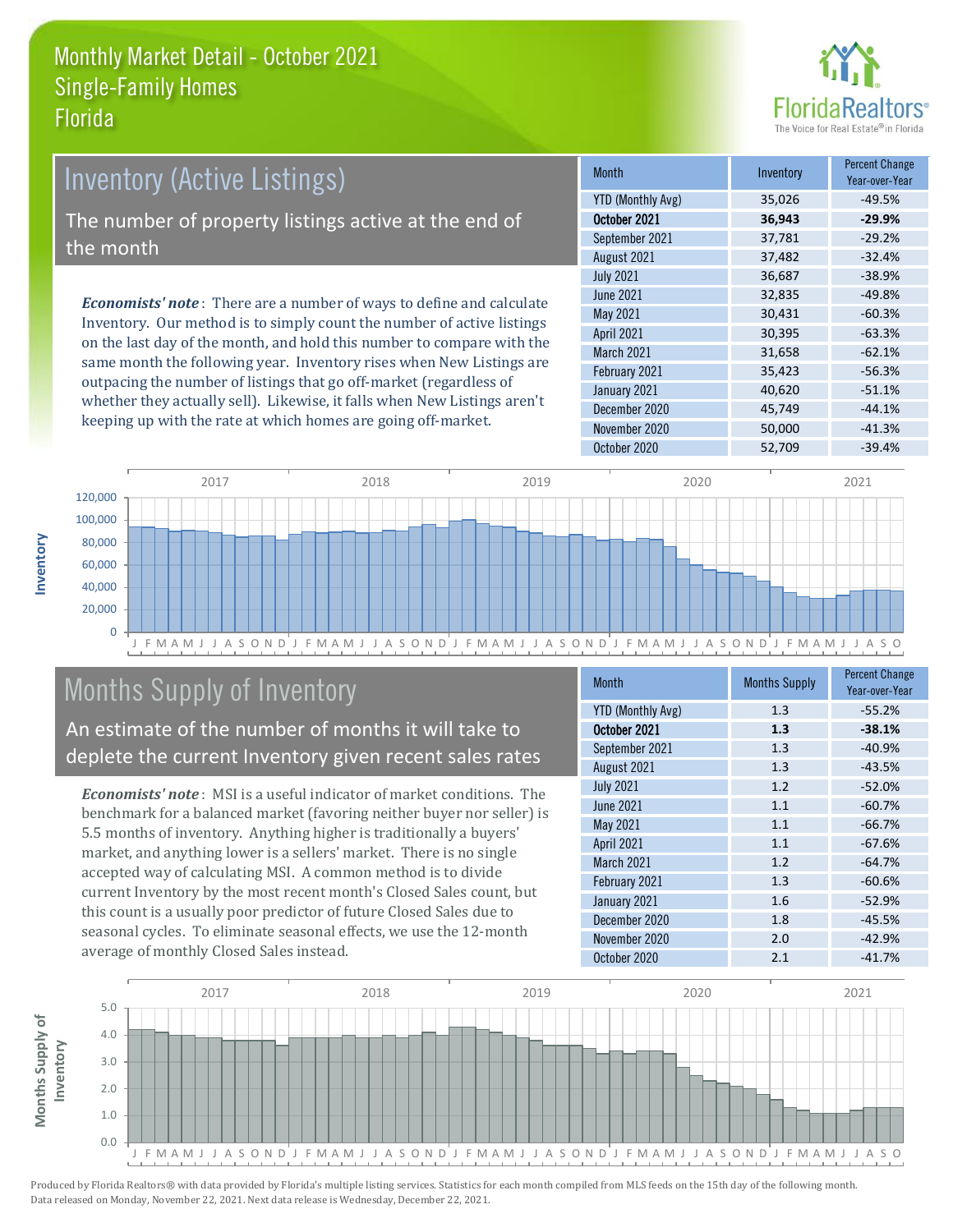

| <b>Inventory (Active Listings)</b>                   |         |                                                                                                                                                           |
|------------------------------------------------------|---------|-----------------------------------------------------------------------------------------------------------------------------------------------------------|
|                                                      | YTD (Mo |                                                                                                                                                           |
| The number of property listings active at the end of |         |                                                                                                                                                           |
| the month                                            |         |                                                                                                                                                           |
|                                                      |         | <b>Economists' note</b> : There are a number of ways to define and calculate<br>Incrembents. Our method is to simular second the mumber of sative Ustinse |

Inventory. Our method is to simply count the number of active listings on the last day of the month, and hold this number to compare with the same month the following year. Inventory rises when New Listings are outpacing the number of listings that go off-market (regardless of whether they actually sell). Likewise, it falls when New Listings aren't keeping up with the rate at which homes are going off-market.

| <b>Month</b>             | Inventory | <b>Percent Change</b><br>Year-over-Year |
|--------------------------|-----------|-----------------------------------------|
| <b>YTD (Monthly Avg)</b> | 35,026    | $-49.5%$                                |
| October 2021             | 36,943    | $-29.9%$                                |
| September 2021           | 37,781    | $-29.2%$                                |
| August 2021              | 37,482    | $-32.4%$                                |
| <b>July 2021</b>         | 36,687    | $-38.9%$                                |
| <b>June 2021</b>         | 32,835    | $-49.8%$                                |
| May 2021                 | 30,431    | $-60.3%$                                |
| <b>April 2021</b>        | 30,395    | $-63.3%$                                |
| March 2021               | 31,658    | $-62.1%$                                |
| February 2021            | 35,423    | $-56.3%$                                |
| January 2021             | 40,620    | $-51.1%$                                |
| December 2020            | 45,749    | $-44.1%$                                |
| November 2020            | 50,000    | $-41.3%$                                |
| October 2020             | 52,709    | $-39.4%$                                |



# Months Supply of Inventory

An estimate of the number of months it will take to deplete the current Inventory given recent sales rates

*Economists' note* : MSI is a useful indicator of market conditions. The benchmark for a balanced market (favoring neither buyer nor seller) is 5.5 months of inventory. Anything higher is traditionally a buyers' market, and anything lower is a sellers' market. There is no single accepted way of calculating MSI. A common method is to divide current Inventory by the most recent month's Closed Sales count, but this count is a usually poor predictor of future Closed Sales due to seasonal cycles. To eliminate seasonal effects, we use the 12-month average of monthly Closed Sales instead.

| <b>Month</b>             | <b>Months Supply</b> | <b>Percent Change</b><br>Year-over-Year |
|--------------------------|----------------------|-----------------------------------------|
| <b>YTD (Monthly Avg)</b> | 1.3                  | $-55.2%$                                |
| October 2021             | 1.3                  | $-38.1%$                                |
| September 2021           | 1.3                  | $-40.9%$                                |
| August 2021              | 1.3                  | $-43.5%$                                |
| <b>July 2021</b>         | 1.2                  | $-52.0%$                                |
| <b>June 2021</b>         | 1.1                  | $-60.7%$                                |
| May 2021                 | 1.1                  | $-66.7%$                                |
| April 2021               | 1.1                  | $-67.6%$                                |
| <b>March 2021</b>        | 1.2                  | $-64.7%$                                |
| February 2021            | 1.3                  | $-60.6%$                                |
| January 2021             | 1.6                  | $-52.9%$                                |
| December 2020            | 1.8                  | $-45.5%$                                |
| November 2020            | 2.0                  | $-42.9%$                                |
| October 2020             | 2.1                  | $-41.7%$                                |

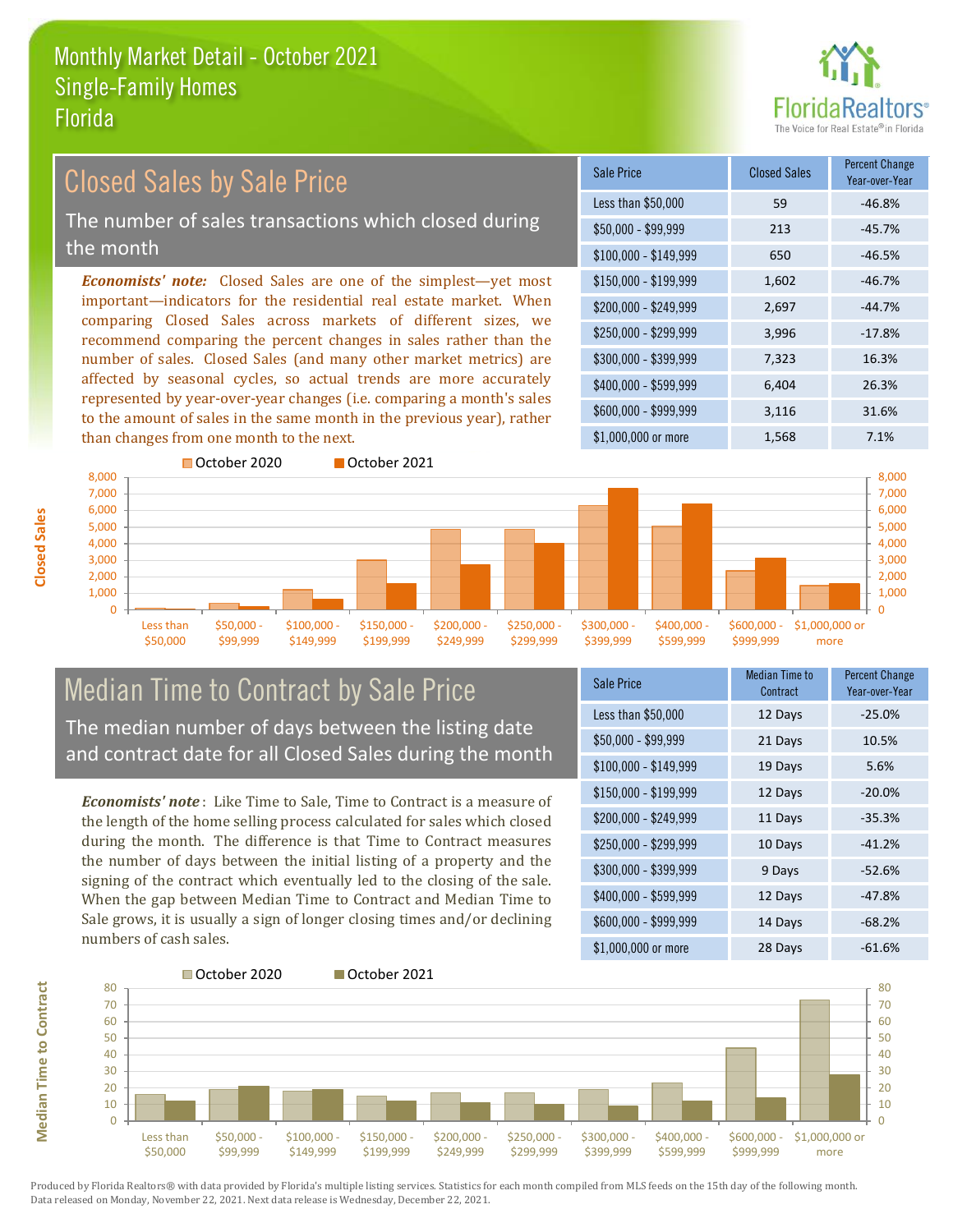

## Closed Sales by Sale Price

The number of sales transactions which closed during the month

*Economists' note:* Closed Sales are one of the simplest—yet most important—indicators for the residential real estate market. When comparing Closed Sales across markets of different sizes, we recommend comparing the percent changes in sales rather than the number of sales. Closed Sales (and many other market metrics) are affected by seasonal cycles, so actual trends are more accurately represented by year-over-year changes (i.e. comparing a month's sales to the amount of sales in the same month in the previous year), rather than changes from one month to the next.

| <b>Sale Price</b>     | <b>Closed Sales</b> | <b>Percent Change</b><br>Year-over-Year |
|-----------------------|---------------------|-----------------------------------------|
| Less than \$50,000    | 59                  | $-46.8%$                                |
| \$50,000 - \$99,999   | 213                 | $-45.7%$                                |
| $$100,000 - $149,999$ | 650                 | $-46.5%$                                |
| $$150,000 - $199,999$ | 1,602               | $-46.7%$                                |
| \$200,000 - \$249,999 | 2,697               | $-44.7%$                                |
| \$250,000 - \$299,999 | 3,996               | $-17.8%$                                |
| \$300,000 - \$399,999 | 7,323               | 16.3%                                   |
| \$400,000 - \$599,999 | 6,404               | 26.3%                                   |
| \$600,000 - \$999,999 | 3,116               | 31.6%                                   |
| \$1,000,000 or more   | 1,568               | 7.1%                                    |



# Median Time to Contract by Sale Price The median number of days between the listing date

and contract date for all Closed Sales during the month

*Economists' note* : Like Time to Sale, Time to Contract is a measure of the length of the home selling process calculated for sales which closed during the month. The difference is that Time to Contract measures the number of days between the initial listing of a property and the signing of the contract which eventually led to the closing of the sale. When the gap between Median Time to Contract and Median Time to Sale grows, it is usually a sign of longer closing times and/or declining numbers of cash sales.

| Sale Price            | <b>Median Time to</b><br>Contract | <b>Percent Change</b><br>Year-over-Year |
|-----------------------|-----------------------------------|-----------------------------------------|
| Less than \$50,000    | 12 Days                           | $-25.0%$                                |
| $$50,000 - $99,999$   | 21 Days                           | 10.5%                                   |
| $$100,000 - $149,999$ | 19 Days                           | 5.6%                                    |
| $$150,000 - $199,999$ | 12 Days                           | $-20.0%$                                |
| \$200,000 - \$249,999 | 11 Days                           | $-35.3%$                                |
| \$250,000 - \$299,999 | 10 Days                           | $-41.2%$                                |
| \$300,000 - \$399,999 | 9 Days                            | $-52.6%$                                |
| \$400,000 - \$599,999 | 12 Days                           | $-47.8%$                                |
| \$600,000 - \$999,999 | 14 Days                           | $-68.2%$                                |
| \$1,000,000 or more   | 28 Days                           | $-61.6%$                                |



**Closed Sales**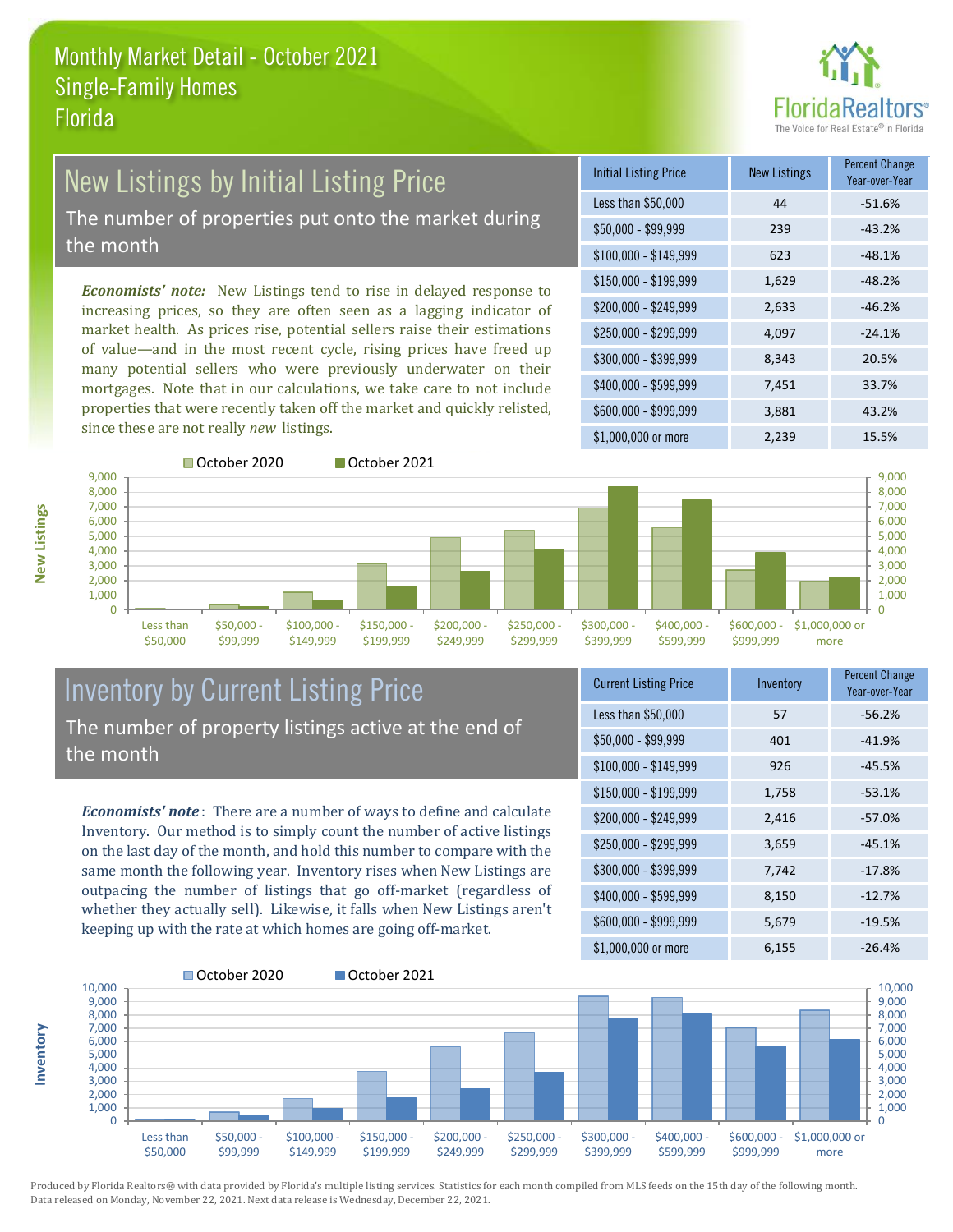

## New Listings by Initial Listing Price

The number of properties put onto the market during the month

*Economists' note:* New Listings tend to rise in delayed response to increasing prices, so they are often seen as a lagging indicator of market health. As prices rise, potential sellers raise their estimations of value—and in the most recent cycle, rising prices have freed up many potential sellers who were previously underwater on their mortgages. Note that in our calculations, we take care to not include properties that were recently taken off the market and quickly relisted, since these are not really *new* listings.

| <b>Initial Listing Price</b> | <b>New Listings</b> | <b>Percent Change</b><br>Year-over-Year |
|------------------------------|---------------------|-----------------------------------------|
| Less than \$50,000           | 44                  | $-51.6%$                                |
| \$50,000 - \$99,999          | 239                 | $-43.2%$                                |
| $$100,000 - $149,999$        | 623                 | $-48.1%$                                |
| $$150,000 - $199,999$        | 1,629               | $-48.2%$                                |
| \$200,000 - \$249,999        | 2,633               | $-46.2%$                                |
| \$250,000 - \$299,999        | 4,097               | $-24.1%$                                |
| \$300,000 - \$399,999        | 8,343               | 20.5%                                   |
| \$400,000 - \$599,999        | 7,451               | 33.7%                                   |
| \$600,000 - \$999,999        | 3,881               | 43.2%                                   |
| \$1,000,000 or more          | 2,239               | 15.5%                                   |



### Inventory by Current Listing Price The number of property listings active at the end of the month

*Economists' note* : There are a number of ways to define and calculate Inventory. Our method is to simply count the number of active listings on the last day of the month, and hold this number to compare with the same month the following year. Inventory rises when New Listings are outpacing the number of listings that go off-market (regardless of whether they actually sell). Likewise, it falls when New Listings aren't keeping up with the rate at which homes are going off-market.

| <b>Current Listing Price</b> | Inventory | Percent Change<br>Year-over-Year |
|------------------------------|-----------|----------------------------------|
| Less than \$50,000           | 57        | $-56.2%$                         |
| \$50,000 - \$99,999          | 401       | $-41.9%$                         |
| $$100,000 - $149,999$        | 926       | $-45.5%$                         |
| $$150,000 - $199,999$        | 1,758     | $-53.1%$                         |
| \$200,000 - \$249,999        | 2,416     | $-57.0%$                         |
| \$250,000 - \$299,999        | 3,659     | $-45.1%$                         |
| \$300,000 - \$399,999        | 7,742     | $-17.8%$                         |
| \$400,000 - \$599,999        | 8,150     | $-12.7%$                         |
| \$600,000 - \$999,999        | 5,679     | $-19.5%$                         |
| \$1,000,000 or more          | 6,155     | $-26.4%$                         |



Produced by Florida Realtors® with data provided by Florida's multiple listing services. Statistics for each month compiled from MLS feeds on the 15th day of the following month. Data released on Monday, November 22, 2021. Next data release is Wednesday, December 22, 2021.

**Inventory**